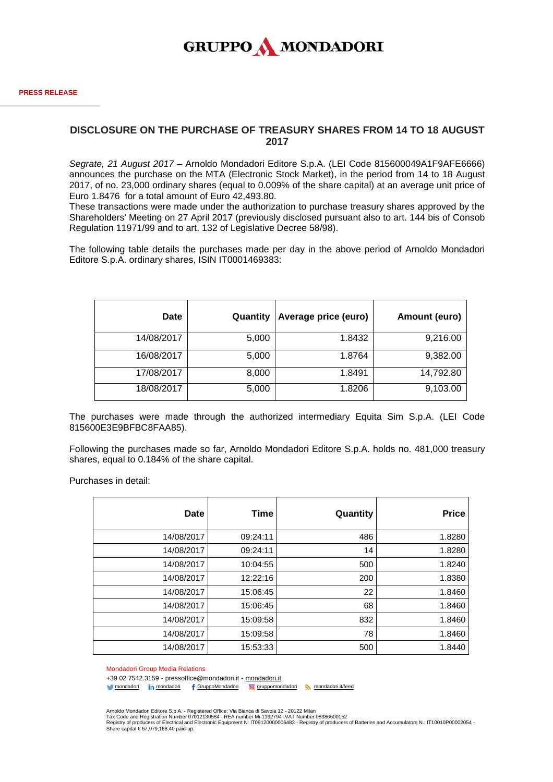

## **DISCLOSURE ON THE PURCHASE OF TREASURY SHARES FROM 14 TO 18 AUGUST 2017**

*Segrate, 21 August 2017* – Arnoldo Mondadori Editore S.p.A. (LEI Code 815600049A1F9AFE6666) announces the purchase on the MTA (Electronic Stock Market), in the period from 14 to 18 August 2017, of no. 23,000 ordinary shares (equal to 0.009% of the share capital) at an average unit price of Euro 1.8476 for a total amount of Euro 42,493.80.

These transactions were made under the authorization to purchase treasury shares approved by the Shareholders' Meeting on 27 April 2017 (previously disclosed pursuant also to art. 144 bis of Consob Regulation 11971/99 and to art. 132 of Legislative Decree 58/98).

The following table details the purchases made per day in the above period of Arnoldo Mondadori Editore S.p.A. ordinary shares, ISIN IT0001469383:

| <b>Date</b> | Quantity | Average price (euro) | Amount (euro) |
|-------------|----------|----------------------|---------------|
| 14/08/2017  | 5,000    | 1.8432               | 9,216.00      |
| 16/08/2017  | 5,000    | 1.8764               | 9,382.00      |
| 17/08/2017  | 8,000    | 1.8491               | 14,792.80     |
| 18/08/2017  | 5,000    | 1.8206               | 9,103.00      |

The purchases were made through the authorized intermediary Equita Sim S.p.A. (LEI Code 815600E3E9BFBC8FAA85).

Following the purchases made so far, Arnoldo Mondadori Editore S.p.A. holds no. 481,000 treasury shares, equal to 0.184% of the share capital.

Purchases in detail:

| Date       | Time     | Quantity | <b>Price</b> |
|------------|----------|----------|--------------|
| 14/08/2017 | 09:24:11 | 486      | 1.8280       |
| 14/08/2017 | 09:24:11 | 14       | 1.8280       |
| 14/08/2017 | 10:04:55 | 500      | 1.8240       |
| 14/08/2017 | 12:22:16 | 200      | 1.8380       |
| 14/08/2017 | 15:06:45 | 22       | 1.8460       |
| 14/08/2017 | 15:06:45 | 68       | 1.8460       |
| 14/08/2017 | 15:09:58 | 832      | 1.8460       |
| 14/08/2017 | 15:09:58 | 78       | 1.8460       |
| 14/08/2017 | 15:53:33 | 500      | 1.8440       |

Mondadori Group Media Relations

+39 02 7542.3159 - pressoffice@mondadori.it - [mondadori.it](http://www.mondadori.it/)

[mondadori](http://www.linkedin.com/company/mondadori) in mondadori f [GruppoMondadori](http://www.facebook.com/GruppoMondadori) @ [gruppomondadori](https://www.instagram.com/gruppomondadori/) [mondadori.it/feed](http://www.mondadori.it/feed)

Arnoldo Mondadori Editore S.p.A. - Registered Office: Via Bianca di Savoia 12 - 20122 Milan Tax Code and Registration Number 07012130584 - REA number Mi-1192794 -VAT Number 08386600152

Registry of producers of Electrical and Electronic Equipment N: IT09120000006483 - Registry of producers of Batteries and Accumulators N.: IT10010P00002054 -<br>Share capital €67,979,168.40 paid-up.